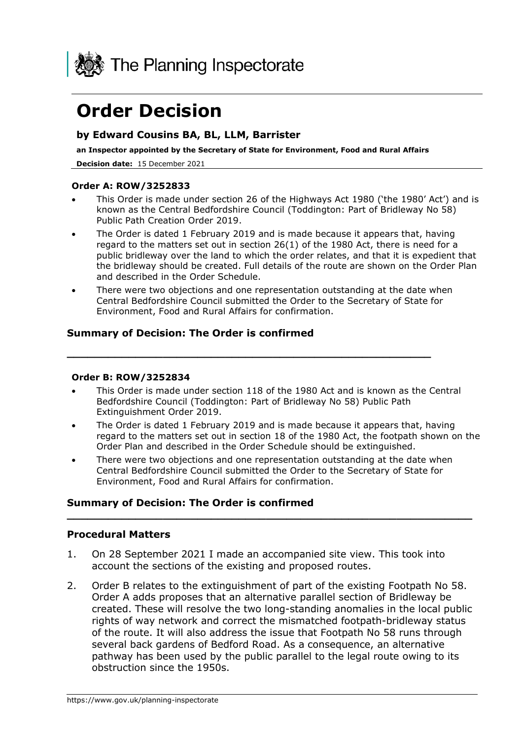

# **Order Decision**

### **by Edward Cousins BA, BL, LLM, Barrister**

**an Inspector appointed by the Secretary of State for Environment, Food and Rural Affairs**

**Decision date:** 15 December 2021

#### **Order A: ROW/3252833**

- This Order is made under section 26 of the Highways Act 1980 ('the 1980' Act') and is known as the Central Bedfordshire Council (Toddington: Part of Bridleway No 58) Public Path Creation Order 2019.
- The Order is dated 1 February 2019 and is made because it appears that, having regard to the matters set out in section 26(1) of the 1980 Act, there is need for a public bridleway over the land to which the order relates, and that it is expedient that the bridleway should be created. Full details of the route are shown on the Order Plan and described in the Order Schedule.
- There were two objections and one representation outstanding at the date when Central Bedfordshire Council submitted the Order to the Secretary of State for Environment, Food and Rural Affairs for confirmation.

**\_\_\_\_\_\_\_\_\_\_\_\_\_\_\_\_\_\_\_\_\_\_\_\_\_\_\_\_\_\_\_\_\_\_\_\_\_\_\_\_\_\_\_\_\_\_\_\_\_\_\_\_\_**

### **Summary of Decision: The Order is confirmed**

#### **Order B: ROW/3252834**

- This Order is made under section 118 of the 1980 Act and is known as the Central Bedfordshire Council (Toddington: Part of Bridleway No 58) Public Path Extinguishment Order 2019.
- The Order is dated 1 February 2019 and is made because it appears that, having regard to the matters set out in section 18 of the 1980 Act, the footpath shown on the Order Plan and described in the Order Schedule should be extinguished.
- There were two objections and one representation outstanding at the date when Central Bedfordshire Council submitted the Order to the Secretary of State for Environment, Food and Rural Affairs for confirmation.

**\_\_\_\_\_\_\_\_\_\_\_\_\_\_\_\_\_\_\_\_\_\_\_\_\_\_\_\_\_\_\_\_\_\_\_\_\_\_\_\_\_\_\_\_\_\_\_\_\_\_\_\_\_\_\_\_\_\_\_**

### **Summary of Decision: The Order is confirmed**

### **Procedural Matters**

- 1. On 28 September 2021 I made an accompanied site view. This took into account the sections of the existing and proposed routes.
- 2. Order B relates to the extinguishment of part of the existing Footpath No 58. Order A adds proposes that an alternative parallel section of Bridleway be created. These will resolve the two long-standing anomalies in the local public rights of way network and correct the mismatched footpath-bridleway status of the route. It will also address the issue that Footpath No 58 runs through several back gardens of Bedford Road. As a consequence, an alternative pathway has been used by the public parallel to the legal route owing to its obstruction since the 1950s.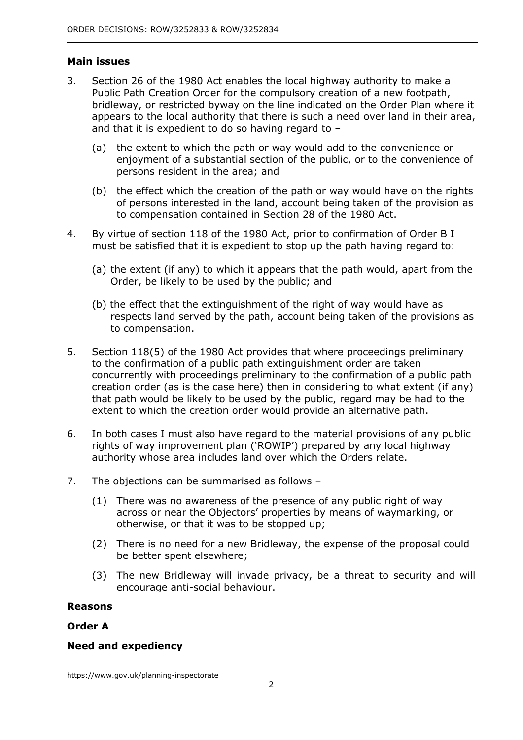### **Main issues**

- 3. Section 26 of the 1980 Act enables the local highway authority to make a Public Path Creation Order for the compulsory creation of a new footpath, bridleway, or restricted byway on the line indicated on the Order Plan where it appears to the local authority that there is such a need over land in their area, and that it is expedient to do so having regard to –
	- (a) the extent to which the path or way would add to the convenience or enjoyment of a substantial section of the public, or to the convenience of persons resident in the area; and
	- (b) the effect which the creation of the path or way would have on the rights of persons interested in the land, account being taken of the provision as to compensation contained in Section 28 of the 1980 Act.
- 4. By virtue of section 118 of the 1980 Act, prior to confirmation of Order B I must be satisfied that it is expedient to stop up the path having regard to:
	- (a) the extent (if any) to which it appears that the path would, apart from the Order, be likely to be used by the public; and
	- (b) the effect that the extinguishment of the right of way would have as respects land served by the path, account being taken of the provisions as to compensation.
- 5. Section 118(5) of the 1980 Act provides that where proceedings preliminary to the confirmation of a public path extinguishment order are taken concurrently with proceedings preliminary to the confirmation of a public path creation order (as is the case here) then in considering to what extent (if any) that path would be likely to be used by the public, regard may be had to the extent to which the creation order would provide an alternative path.
- 6. In both cases I must also have regard to the material provisions of any public rights of way improvement plan ('ROWIP') prepared by any local highway authority whose area includes land over which the Orders relate.
- 7. The objections can be summarised as follows
	- (1) There was no awareness of the presence of any public right of way across or near the Objectors' properties by means of waymarking, or otherwise, or that it was to be stopped up;
	- (2) There is no need for a new Bridleway, the expense of the proposal could be better spent elsewhere;
	- (3) The new Bridleway will invade privacy, be a threat to security and will encourage anti-social behaviour.

#### **Reasons**

### **Order A**

### **Need and expediency**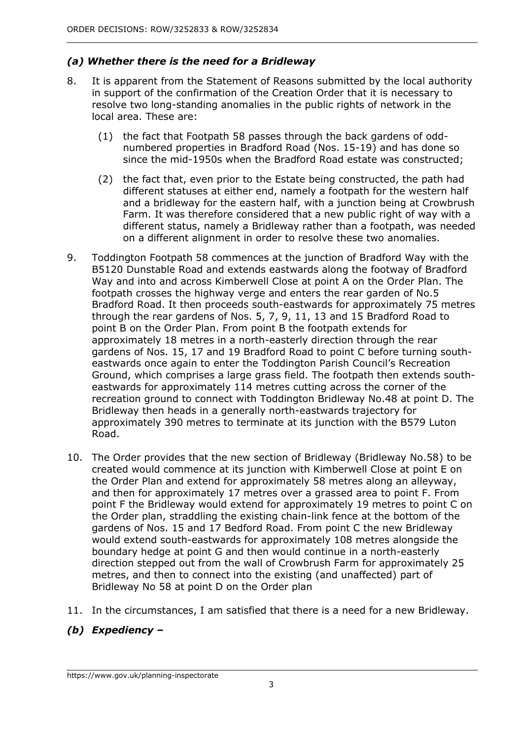### *(a) Whether there is the need for a Bridleway*

- 8. It is apparent from the Statement of Reasons submitted by the local authority in support of the confirmation of the Creation Order that it is necessary to resolve two long-standing anomalies in the public rights of network in the local area. These are:
	- (1) the fact that Footpath 58 passes through the back gardens of oddnumbered properties in Bradford Road (Nos. 15-19) and has done so since the mid-1950s when the Bradford Road estate was constructed;
	- (2) the fact that, even prior to the Estate being constructed, the path had different statuses at either end, namely a footpath for the western half and a bridleway for the eastern half, with a junction being at Crowbrush Farm. It was therefore considered that a new public right of way with a different status, namely a Bridleway rather than a footpath, was needed on a different alignment in order to resolve these two anomalies.
- 9. Toddington Footpath 58 commences at the junction of Bradford Way with the B5120 Dunstable Road and extends eastwards along the footway of Bradford Way and into and across Kimberwell Close at point A on the Order Plan. The footpath crosses the highway verge and enters the rear garden of No.5 Bradford Road. It then proceeds south-eastwards for approximately 75 metres through the rear gardens of Nos. 5, 7, 9, 11, 13 and 15 Bradford Road to point B on the Order Plan. From point B the footpath extends for approximately 18 metres in a north-easterly direction through the rear gardens of Nos. 15, 17 and 19 Bradford Road to point C before turning southeastwards once again to enter the Toddington Parish Council's Recreation Ground, which comprises a large grass field. The footpath then extends southeastwards for approximately 114 metres cutting across the corner of the recreation ground to connect with Toddington Bridleway No.48 at point D. The Bridleway then heads in a generally north-eastwards trajectory for approximately 390 metres to terminate at its junction with the B579 Luton Road.
- 10. The Order provides that the new section of Bridleway (Bridleway No.58) to be created would commence at its junction with Kimberwell Close at point E on the Order Plan and extend for approximately 58 metres along an alleyway, and then for approximately 17 metres over a grassed area to point F. From point F the Bridleway would extend for approximately 19 metres to point C on the Order plan, straddling the existing chain-link fence at the bottom of the gardens of Nos. 15 and 17 Bedford Road. From point C the new Bridleway would extend south-eastwards for approximately 108 metres alongside the boundary hedge at point G and then would continue in a north-easterly direction stepped out from the wall of Crowbrush Farm for approximately 25 metres, and then to connect into the existing (and unaffected) part of Bridleway No 58 at point D on the Order plan
- 11. In the circumstances, I am satisfied that there is a need for a new Bridleway.

### *(b) Expediency –*

https://www.gov.uk/planning-inspectorate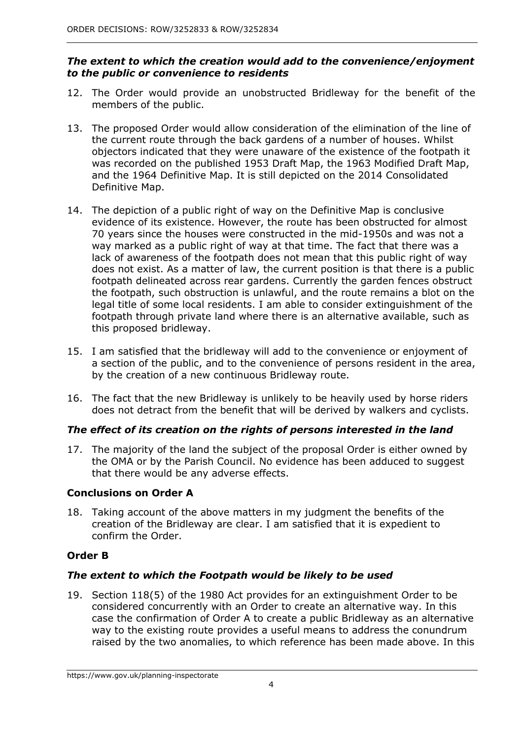### *The extent to which the creation would add to the convenience/enjoyment to the public or convenience to residents*

- 12. The Order would provide an unobstructed Bridleway for the benefit of the members of the public.
- 13. The proposed Order would allow consideration of the elimination of the line of the current route through the back gardens of a number of houses. Whilst objectors indicated that they were unaware of the existence of the footpath it was recorded on the published 1953 Draft Map, the 1963 Modified Draft Map, and the 1964 Definitive Map. It is still depicted on the 2014 Consolidated Definitive Map.
- 14. The depiction of a public right of way on the Definitive Map is conclusive evidence of its existence. However, the route has been obstructed for almost 70 years since the houses were constructed in the mid-1950s and was not a way marked as a public right of way at that time. The fact that there was a lack of awareness of the footpath does not mean that this public right of way does not exist. As a matter of law, the current position is that there is a public footpath delineated across rear gardens. Currently the garden fences obstruct the footpath, such obstruction is unlawful, and the route remains a blot on the legal title of some local residents. I am able to consider extinguishment of the footpath through private land where there is an alternative available, such as this proposed bridleway.
- 15. I am satisfied that the bridleway will add to the convenience or enjoyment of a section of the public, and to the convenience of persons resident in the area, by the creation of a new continuous Bridleway route.
- 16. The fact that the new Bridleway is unlikely to be heavily used by horse riders does not detract from the benefit that will be derived by walkers and cyclists.

### *The effect of its creation on the rights of persons interested in the land*

17. The majority of the land the subject of the proposal Order is either owned by the OMA or by the Parish Council. No evidence has been adduced to suggest that there would be any adverse effects.

### **Conclusions on Order A**

18. Taking account of the above matters in my judgment the benefits of the creation of the Bridleway are clear. I am satisfied that it is expedient to confirm the Order.

### **Order B**

### *The extent to which the Footpath would be likely to be used*

19. Section 118(5) of the 1980 Act provides for an extinguishment Order to be considered concurrently with an Order to create an alternative way. In this case the confirmation of Order A to create a public Bridleway as an alternative way to the existing route provides a useful means to address the conundrum raised by the two anomalies, to which reference has been made above. In this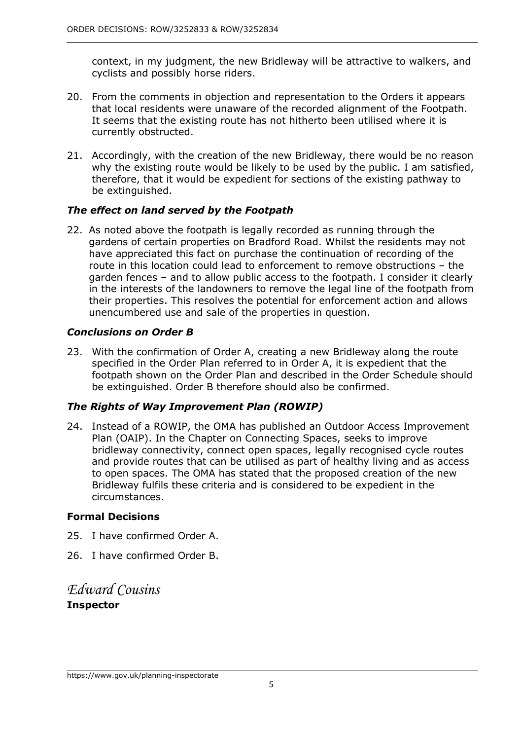context, in my judgment, the new Bridleway will be attractive to walkers, and cyclists and possibly horse riders.

- 20. From the comments in objection and representation to the Orders it appears that local residents were unaware of the recorded alignment of the Footpath. It seems that the existing route has not hitherto been utilised where it is currently obstructed.
- 21. Accordingly, with the creation of the new Bridleway, there would be no reason why the existing route would be likely to be used by the public. I am satisfied, therefore, that it would be expedient for sections of the existing pathway to be extinguished.

### *The effect on land served by the Footpath*

22. As noted above the footpath is legally recorded as running through the gardens of certain properties on Bradford Road. Whilst the residents may not have appreciated this fact on purchase the continuation of recording of the route in this location could lead to enforcement to remove obstructions – the garden fences – and to allow public access to the footpath. I consider it clearly in the interests of the landowners to remove the legal line of the footpath from their properties. This resolves the potential for enforcement action and allows unencumbered use and sale of the properties in question.

### *Conclusions on Order B*

23. With the confirmation of Order A, creating a new Bridleway along the route specified in the Order Plan referred to in Order A, it is expedient that the footpath shown on the Order Plan and described in the Order Schedule should be extinguished. Order B therefore should also be confirmed.

### *The Rights of Way Improvement Plan (ROWIP)*

24. Instead of a ROWIP, the OMA has published an Outdoor Access Improvement Plan (OAIP). In the Chapter on Connecting Spaces, seeks to improve bridleway connectivity, connect open spaces, legally recognised cycle routes and provide routes that can be utilised as part of healthy living and as access to open spaces. The OMA has stated that the proposed creation of the new Bridleway fulfils these criteria and is considered to be expedient in the circumstances.

### **Formal Decisions**

- 25. I have confirmed Order A.
- 26. I have confirmed Order B.

## *Edward Cousins* **Inspector**

https://www.gov.uk/planning-inspectorate